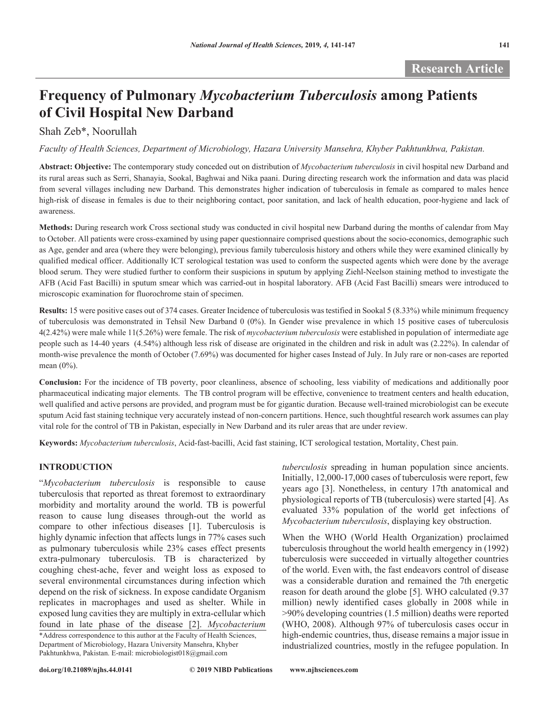# **Frequency of Pulmonary** *Mycobacterium Tuberculosis* **among Patients of Civil Hospital New Darband**

# Shah Zeb\*, Noorullah

*Faculty of Health Sciences, Department of Microbiology, Hazara University Mansehra, Khyber Pakhtunkhwa, Pakistan.*

**Abstract: Objective:** The contemporary study conceded out on distribution of *Mycobacterium tuberculosis* in civil hospital new Darband and its rural areas such as Serri, Shanayia, Sookal, Baghwai and Nika paani. During directing research work the information and data was placid from several villages including new Darband. This demonstrates higher indication of tuberculosis in female as compared to males hence high-risk of disease in females is due to their neighboring contact, poor sanitation, and lack of health education, poor-hygiene and lack of awareness.

**Methods:** During research work Cross sectional study was conducted in civil hospital new Darband during the months of calendar from May to October. All patients were cross-examined by using paper questionnaire comprised questions about the socio-economics, demographic such as Age, gender and area (where they were belonging), previous family tuberculosis history and others while they were examined clinically by qualified medical officer. Additionally ICT serological testation was used to conform the suspected agents which were done by the average blood serum. They were studied further to conform their suspicions in sputum by applying Ziehl-Neelson staining method to investigate the AFB (Acid Fast Bacilli) in sputum smear which was carried-out in hospital laboratory. AFB (Acid Fast Bacilli) smears were introduced to microscopic examination for fluorochrome stain of specimen.

**Results:** 15 were positive cases out of 374 cases. Greater Incidence of tuberculosis was testified in Sookal 5 (8.33%) while minimum frequency of tuberculosis was demonstrated in Tehsil New Darband 0 (0%). In Gender wise prevalence in which 15 positive cases of tuberculosis 4(2.42%) were male while 11(5.26%) were female. The risk of *mycobacterium tuberculosis* were established in population of intermediate age people such as 14-40 years (4.54%) although less risk of disease are originated in the children and risk in adult was (2.22%). In calendar of month-wise prevalence the month of October (7.69%) was documented for higher cases Instead of July. In July rare or non-cases are reported mean (0%).

**Conclusion:** For the incidence of TB poverty, poor cleanliness, absence of schooling, less viability of medications and additionally poor pharmaceutical indicating major elements. The TB control program will be effective, convenience to treatment centers and health education, well qualified and active persons are provided, and program must be for gigantic duration. Because well-trained microbiologist can be execute sputum Acid fast staining technique very accurately instead of non-concern partitions. Hence, such thoughtful research work assumes can play vital role for the control of TB in Pakistan, especially in New Darband and its ruler areas that are under review.

**Keywords:** *Mycobacterium tuberculosis*, Acid-fast-bacilli, Acid fast staining, ICT serological testation, Mortality, Chest pain.

# **INTRODUCTION**

"*Mycobacterium tuberculosis* is responsible to cause tuberculosis that reported as threat foremost to extraordinary morbidity and mortality around the world. TB is powerful reason to cause lung diseases through-out the world as compare to other infectious diseases [1]. Tuberculosis is highly dynamic infection that affects lungs in  $77%$  cases such as pulmonary tuberculosis while 23% cases effect presents extra-pulmonary tuberculosis. TB is characterized by coughing chest-ache, fever and weight loss as exposed to several environmental circumstances during infection which depend on the risk of sickness. In expose candidate Organism replicates in macrophages and used as shelter. While in exposed lung cavities they are multiply in extra-cellular which found in late phase of the disease [2]. *Mycobacterium* 

\*Address correspondence to this author at the Faculty of Health Sciences, Department of Microbiology, Hazara University Mansehra, Khyber Pakhtunkhwa, Pakistan. E-mail: microbiologist018@gmail.com

**doi.org/10.21089/njhs.44.0141**

*tuberculosis* spreading in human population since ancients. Initially, 12,000-17,000 cases of tuberculosis were report, few years ago [3]. Nonetheless, in century 17th anatomical and physiological reports of TB (tuberculosis) were started [4]. As evaluated 33% population of the world get infections of *Mycobacterium tuberculosis*, displaying key obstruction.

When the WHO (World Health Organization) proclaimed tuberculosis throughout the world health emergency in (1992) tuberculosis were succeeded in virtually altogether countries of the world. Even with, the fast endeavors control of disease was a considerable duration and remained the 7th energetic reason for death around the globe [5]. WHO calculated (9.37 million) newly identified cases globally in 2008 while in >90% developing countries (1.5 million) deaths were reported (WHO, 2008). Although 97% of tuberculosis cases occur in high-endemic countries, thus, disease remains a major issue in industrialized countries, mostly in the refugee population. In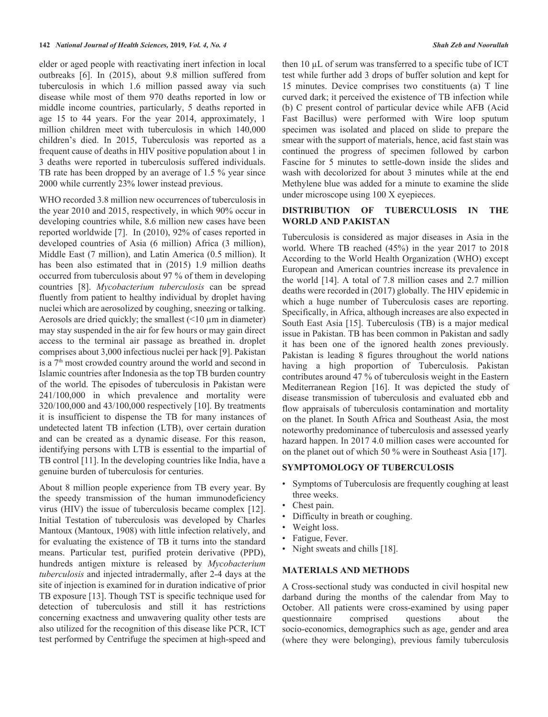elder or aged people with reactivating inert infection in local outbreaks [6]. In (2015), about 9.8 million suffered from tuberculosis in which 1.6 million passed away via such disease while most of them 970 deaths reported in low or middle income countries, particularly, 5 deaths reported in age 15 to 44 years. For the year 2014, approximately, 1 million children meet with tuberculosis in which 140,000 children's died. In 2015, Tuberculosis was reported as a frequent cause of deaths in HIV positive population about 1 in 3 deaths were reported in tuberculosis suffered individuals. TB rate has been dropped by an average of 1.5 % year since 2000 while currently 23% lower instead previous.

WHO recorded 3.8 million new occurrences of tuberculosis in the year 2010 and 2015, respectively, in which 90% occur in developing countries while, 8.6 million new cases have been reported worldwide [7]. In (2010), 92% of cases reported in developed countries of Asia (6 million) Africa (3 million), Middle East (7 million), and Latin America (0.5 million). It has been also estimated that in (2015) 1.9 million deaths occurred from tuberculosis about 97 % of them in developing countries [8]. *Mycobacterium tuberculosis* can be spread fluently from patient to healthy individual by droplet having nuclei which are aerosolized by coughing, sneezing or talking. Aerosols are dried quickly; the smallest  $($ <10  $\mu$ m in diameter) may stay suspended in the air for few hours or may gain direct access to the terminal air passage as breathed in. droplet comprises about 3,000 infectious nuclei per hack [9]. Pakistan is a 7<sup>th</sup> most crowded country around the world and second in Islamic countries after Indonesia as the top TB burden country of the world. The episodes of tuberculosis in Pakistan were 241/100,000 in which prevalence and mortality were 320/100,000 and 43/100,000 respectively [10]. By treatments it is insufficient to dispense the TB for many instances of undetected latent TB infection (LTB), over certain duration and can be created as a dynamic disease. For this reason, identifying persons with LTB is essential to the impartial of TB control [11]. In the developing countries like India, have a genuine burden of tuberculosis for centuries.

About 8 million people experience from TB every year. By the speedy transmission of the human immunodeficiency virus (HIV) the issue of tuberculosis became complex [12]. Initial Testation of tuberculosis was developed by Charles Mantoux (Mantoux, 1908) with little infection relatively, and for evaluating the existence of TB it turns into the standard means. Particular test, purified protein derivative (PPD), hundreds antigen mixture is released by *Mycobacterium tuberculosis* and injected intradermally, after 2-4 days at the site of injection is examined for in duration indicative of prior TB exposure [13]. Though TST is specific technique used for detection of tuberculosis and still it has restrictions concerning exactness and unwavering quality other tests are also utilized for the recognition of this disease like PCR, ICT test performed by Centrifuge the specimen at high-speed and

then 10 µL of serum was transferred to a specific tube of ICT test while further add 3 drops of buffer solution and kept for 15 minutes. Device comprises two constituents (a) T line curved dark; it perceived the existence of TB infection while (b) C present control of particular device while AFB (Acid Fast Bacillus) were performed with Wire loop sputum specimen was isolated and placed on slide to prepare the smear with the support of materials, hence, acid fast stain was continued the progress of specimen followed by carbon Fascine for 5 minutes to settle-down inside the slides and wash with decolorized for about 3 minutes while at the end Methylene blue was added for a minute to examine the slide under microscope using 100 X eyepieces.

### **DISTRIBUTION OF TUBERCULOSIS IN THE WORLD AND PAKISTAN**

Tuberculosis is considered as major diseases in Asia in the world. Where TB reached (45%) in the year 2017 to 2018 According to the World Health Organization (WHO) except European and American countries increase its prevalence in the world [14]. A total of 7.8 million cases and 2.7 million deaths were recorded in (2017) globally. The HIV epidemic in which a huge number of Tuberculosis cases are reporting. Specifically, in Africa, although increases are also expected in South East Asia [15]. Tuberculosis (TB) is a major medical issue in Pakistan. TB has been common in Pakistan and sadly it has been one of the ignored health zones previously. Pakistan is leading 8 figures throughout the world nations having a high proportion of Tuberculosis. Pakistan contributes around 47 % of tuberculosis weight in the Eastern Mediterranean Region [16]. It was depicted the study of disease transmission of tuberculosis and evaluated ebb and flow appraisals of tuberculosis contamination and mortality on the planet. In South Africa and Southeast Asia, the most noteworthy predominance of tuberculosis and assessed yearly hazard happen. In 2017 4.0 million cases were accounted for on the planet out of which 50 % were in Southeast Asia [17].

### **SYMPTOMOLOGY OF TUBERCULOSIS**

- Symptoms of Tuberculosis are frequently coughing at least three weeks.
- Chest pain.
- Difficulty in breath or coughing.
- Weight loss.
- Fatigue, Fever.
- Night sweats and chills [18].

### **MATERIALS AND METHODS**

A Cross-sectional study was conducted in civil hospital new darband during the months of the calendar from May to October. All patients were cross-examined by using paper questionnaire comprised questions about the socio-economics, demographics such as age, gender and area (where they were belonging), previous family tuberculosis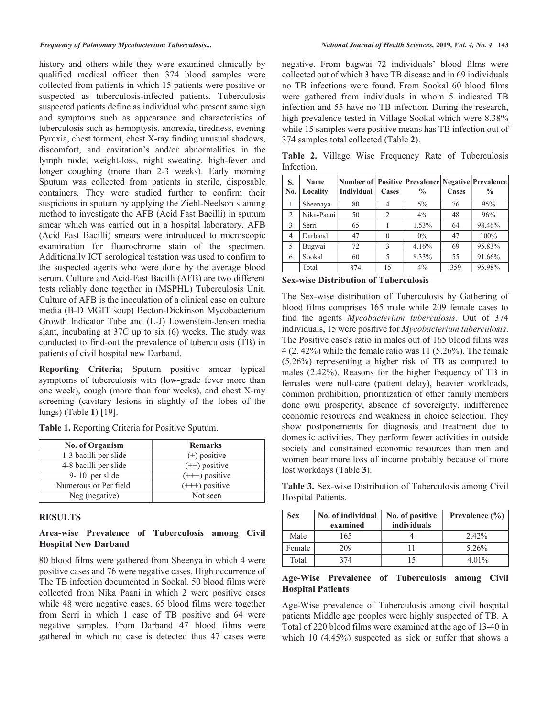history and others while they were examined clinically by qualified medical officer then 374 blood samples were collected from patients in which 15 patients were positive or suspected as tuberculosis-infected patients. Tuberculosis suspected patients define as individual who present same sign and symptoms such as appearance and characteristics of tuberculosis such as hemoptysis, anorexia, tiredness, evening Pyrexia, chest torment, chest X-ray finding unusual shadows, discomfort, and cavitation's and/or abnormalities in the lymph node, weight-loss, night sweating, high-fever and longer coughing (more than 2-3 weeks). Early morning Sputum was collected from patients in sterile, disposable containers. They were studied further to confirm their suspicions in sputum by applying the Ziehl-Neelson staining method to investigate the AFB (Acid Fast Bacilli) in sputum smear which was carried out in a hospital laboratory. AFB (Acid Fast Bacilli) smears were introduced to microscopic examination for fluorochrome stain of the specimen. Additionally ICT serological testation was used to confirm to the suspected agents who were done by the average blood serum. Culture and Acid-Fast Bacilli (AFB) are two different tests reliably done together in (MSPHL) Tuberculosis Unit. Culture of AFB is the inoculation of a clinical case on culture media (B-D MGIT soup) Becton-Dickinson Mycobacterium Growth Indicator Tube and (L-J) Lowenstein-Jensen media slant, incubating at 37C up to six (6) weeks. The study was conducted to find-out the prevalence of tuberculosis (TB) in patients of civil hospital new Darband.

**Reporting Criteria;** Sputum positive smear typical symptoms of tuberculosis with (low-grade fever more than one week), cough (more than four weeks), and chest X-ray screening (cavitary lesions in slightly of the lobes of the lungs) (Table **1**) [19].

> $(++)$  positive  $(++)$  positive  $\overline{(++)}$  positive Not seen

**Table 1.** Reporting Criteria for Positive Sputum. **No. of Organism** 1-3 bacilli per slide **Remarks**   $(+)$  positive

# **RESULTS**

4-8 bacilli per slide 9- 10 per slide Numerous or Per field Neg (negative)

### **Area-wise Prevalence of Tuberculosis among Civil Hospital New Darband**

 80 blood films were gathered from Sheenya in which 4 were positive cases and 76 were negative cases. High occurrence of The TB infection documented in Sookal. 50 blood films were collected from Nika Paani in which 2 were positive cases while 48 were negative cases. 65 blood films were together from Serri in which 1 case of TB positive and 64 were negative samples. From Darband 47 blood films were gathered in which no case is detected thus 47 cases were

negative. From bagwai 72 individuals' blood films were collected out of which 3 have TB disease and in 69 individuals no TB infections were found. From Sookal 60 blood films were gathered from individuals in whom 5 indicated TB infection and 55 have no TB infection. During the research, high prevalence tested in Village Sookal which were 8.38% while 15 samples were positive means has TB infection out of 374 samples total collected (Table **2**).

**Table 2.** Village Wise Frequency Rate of Tuberculosis Infection.

| S.<br>No.      | <b>Name</b><br>Locality | <b>Number of Positive Prevalence Negative Prevalence</b><br><b>Individual</b> | Cases          | $\frac{0}{0}$ | Cases | $\frac{0}{0}$ |
|----------------|-------------------------|-------------------------------------------------------------------------------|----------------|---------------|-------|---------------|
|                | Sheenaya                | 80                                                                            | $\overline{4}$ | $5\%$         | 76    | 95%           |
| $\overline{2}$ | Nika-Paani              | 50                                                                            | $\overline{c}$ | 4%            | 48    | 96%           |
| 3              | Serri                   | 65                                                                            |                | 1.53%         | 64    | 98.46%        |
| $\overline{4}$ | Darband                 | 47                                                                            | $\theta$       | $0\%$         | 47    | 100%          |
| 5              | Bugwai                  | 72                                                                            | 3              | 4.16%         | 69    | 95.83%        |
| 6              | Sookal                  | 60                                                                            | 5              | 8.33%         | 55    | 91.66%        |
|                | Total                   | 374                                                                           | 15             | 4%            | 359   | 95.98%        |

**Sex-wise Distribution of Tuberculosis**

The Sex-wise distribution of Tuberculosis by Gathering of blood films comprises 165 male while 209 female cases to find the agents *Mycobacterium tuberculosis*. Out of 374 individuals, 15 were positive for *Mycobacterium tuberculosis*. The Positive case's ratio in males out of 165 blood films was 4 (2. 42%) while the female ratio was 11 (5.26%). The female (5.26%) representing a higher risk of TB as compared to males (2.42%). Reasons for the higher frequency of TB in females were null-care (patient delay), heavier workloads, common prohibition, prioritization of other family members done own prosperity, absence of sovereignty, indifference economic resources and weakness in choice selection. They show postponements for diagnosis and treatment due to domestic activities. They perform fewer activities in outside society and constrained economic resources than men and women bear more loss of income probably because of more lost workdays (Table **3**).

**Table 3.** Sex-wise Distribution of Tuberculosis among Civil Hospital Patients.

| <b>Sex</b> | No. of individual<br>examined | No. of positive<br>individuals | Prevalence $(\% )$ |
|------------|-------------------------------|--------------------------------|--------------------|
| Male       | 165                           |                                | 2.42%              |
| Female     | 209                           |                                | 5.26%              |
| Total      | 374                           | 15                             | 4.01%              |

### **Age-Wise Prevalence of Tuberculosis among Civil Hospital Patients**

Age-Wise prevalence of Tuberculosis among civil hospital patients Middle age peoples were highly suspected of TB. A Total of 220 blood films were examined at the age of 13-40 in which 10 (4.45%) suspected as sick or suffer that shows a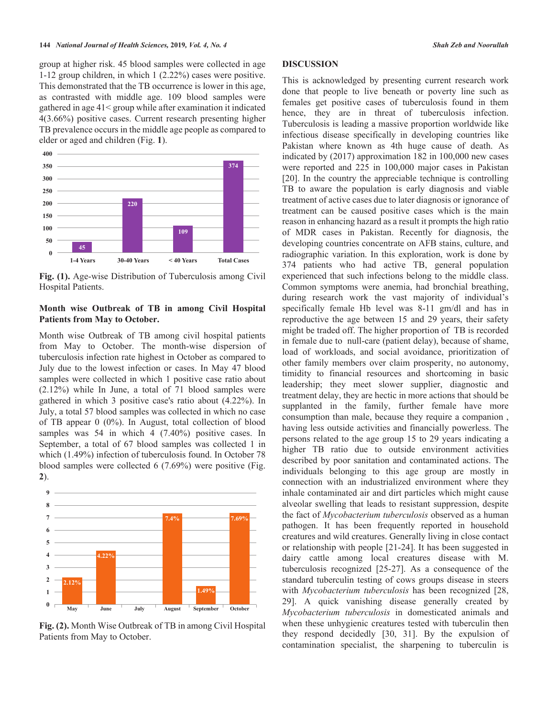group at higher risk. 45 blood samples were collected in age 1-12 group children, in which 1 (2.22%) cases were positive. This demonstrated that the TB occurrence is lower in this age, as contrasted with middle age. 109 blood samples were gathered in age 41< group while after examination it indicated 4(3.66%) positive cases. Current research presenting higher TB prevalence occurs in the middle age people as compared to elder or aged and children (Fig. **1**).



**Fig. (1).** Age-wise Distribution of Tuberculosis among Civil Hospital Patients.

### **Month wise Outbreak of TB in among Civil Hospital Patients from May to October.**

Month wise Outbreak of TB among civil hospital patients from May to October. The month-wise dispersion of tuberculosis infection rate highest in October as compared to July due to the lowest infection or cases. In May 47 blood samples were collected in which 1 positive case ratio about (2.12%) while In June, a total of 71 blood samples were gathered in which 3 positive case's ratio about (4.22%). In July, a total 57 blood samples was collected in which no case of TB appear 0 (0%). In August, total collection of blood samples was 54 in which 4 (7.40%) positive cases. In September, a total of 67 blood samples was collected 1 in which (1.49%) infection of tuberculosis found. In October 78 blood samples were collected 6 (7.69%) were positive (Fig. **2**).



**Fig. (2).** Month Wise Outbreak of TB in among Civil Hospital Patients from May to October.

### **DISCUSSION**

This is acknowledged by presenting current research work done that people to live beneath or poverty line such as females get positive cases of tuberculosis found in them hence, they are in threat of tuberculosis infection. Tuberculosis is leading a massive proportion worldwide like infectious disease specifically in developing countries like Pakistan where known as 4th huge cause of death. As indicated by (2017) approximation 182 in 100,000 new cases were reported and 225 in 100,000 major cases in Pakistan [20]. In the country the appreciable technique is controlling TB to aware the population is early diagnosis and viable treatment of active cases due to later diagnosis or ignorance of treatment can be caused positive cases which is the main reason in enhancing hazard as a result it prompts the high ratio of MDR cases in Pakistan. Recently for diagnosis, the developing countries concentrate on AFB stains, culture, and radiographic variation. In this exploration, work is done by 374 patients who had active TB, general population experienced that such infections belong to the middle class. Common symptoms were anemia, had bronchial breathing, during research work the vast majority of individual's specifically female Hb level was 8-11 gm/dl and has in reproductive the age between 15 and 29 years, their safety might be traded off. The higher proportion of TB is recorded in female due to null-care (patient delay), because of shame, load of workloads, and social avoidance, prioritization of other family members over claim prosperity, no autonomy, timidity to financial resources and shortcoming in basic leadership; they meet slower supplier, diagnostic and treatment delay, they are hectic in more actions that should be supplanted in the family, further female have more consumption than male, because they require a companion , having less outside activities and financially powerless. The persons related to the age group 15 to 29 years indicating a higher TB ratio due to outside environment activities described by poor sanitation and contaminated actions. The individuals belonging to this age group are mostly in connection with an industrialized environment where they inhale contaminated air and dirt particles which might cause alveolar swelling that leads to resistant suppression, despite the fact of *Mycobacterium tuberculosis* observed as a human pathogen. It has been frequently reported in household creatures and wild creatures. Generally living in close contact or relationship with people [21-24]. It has been suggested in dairy cattle among local creatures disease with M. tuberculosis recognized [25-27]. As a consequence of the standard tuberculin testing of cows groups disease in steers with *Mycobacterium tuberculosis* has been recognized [28, 29]. A quick vanishing disease generally created by *Mycobacterium tuberculosis* in domesticated animals and when these unhygienic creatures tested with tuberculin then they respond decidedly [30, 31]. By the expulsion of contamination specialist, the sharpening to tuberculin is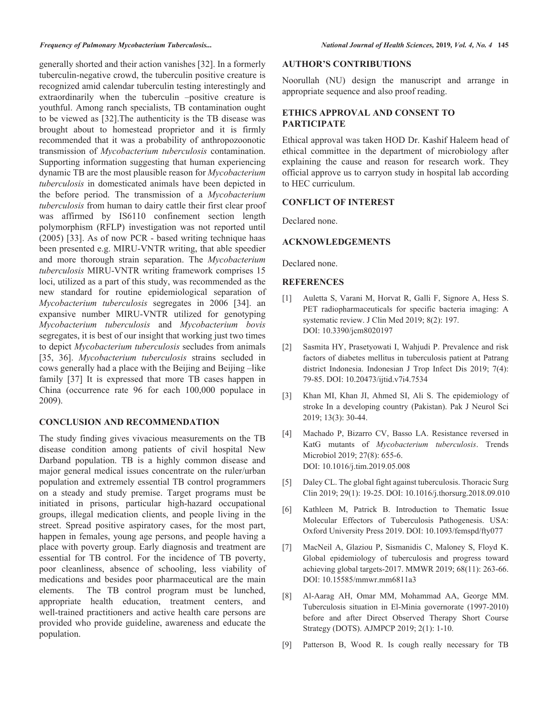generally shorted and their action vanishes [32]. In a formerly tuberculin-negative crowd, the tuberculin positive creature is recognized amid calendar tuberculin testing interestingly and extraordinarily when the tuberculin –positive creature is youthful. Among ranch specialists, TB contamination ought to be viewed as [32].The authenticity is the TB disease was brought about to homestead proprietor and it is firmly recommended that it was a probability of anthropozoonotic transmission of *Mycobacterium tuberculosis* contamination. Supporting information suggesting that human experiencing dynamic TB are the most plausible reason for *Mycobacterium tuberculosis* in domesticated animals have been depicted in the before period. The transmission of a *Mycobacterium tuberculosis* from human to dairy cattle their first clear proof was affirmed by IS6110 confinement section length polymorphism (RFLP) investigation was not reported until (2005) [33]. As of now PCR - based writing technique haas been presented e.g. MIRU-VNTR writing, that able speedier and more thorough strain separation. The *Mycobacterium tuberculosis* MIRU-VNTR writing framework comprises 15 loci, utilized as a part of this study, was recommended as the new standard for routine epidemiological separation of *Mycobacterium tuberculosis* segregates in 2006 [34]. an expansive number MIRU-VNTR utilized for genotyping *Mycobacterium tuberculosis* and *Mycobacterium bovis* segregates, it is best of our insight that working just two times to depict *Mycobacterium tuberculosis* secludes from animals [35, 36]. *Mycobacterium tuberculosis* strains secluded in cows generally had a place with the Beijing and Beijing –like family [37] It is expressed that more TB cases happen in

### **CONCLUSION AND RECOMMENDATION**

2009).

China (occurrence rate 96 for each 100,000 populace in

The study finding gives vivacious measurements on the TB disease condition among patients of civil hospital New Darband population. TB is a highly common disease and major general medical issues concentrate on the ruler/urban population and extremely essential TB control programmers on a steady and study premise. Target programs must be initiated in prisons, particular high-hazard occupational groups, illegal medication clients, and people living in the street. Spread positive aspiratory cases, for the most part, happen in females, young age persons, and people having a place with poverty group. Early diagnosis and treatment are essential for TB control. For the incidence of TB poverty, poor cleanliness, absence of schooling, less viability of medications and besides poor pharmaceutical are the main elements. The TB control program must be lunched, appropriate health education, treatment centers, and well-trained practitioners and active health care persons are provided who provide guideline, awareness and educate the population.

### **AUTHOR'S CONTRIBUTIONS**

Noorullah (NU) design the manuscript and arrange in appropriate sequence and also proof reading.

# **ETHICS APPROVAL AND CONSENT TO PARTICIPATE**

Ethical approval was taken HOD Dr. Kashif Haleem head of ethical committee in the department of microbiology after explaining the cause and reason for research work. They official approve us to carryon study in hospital lab according to HEC curriculum.

### **CONFLICT OF INTEREST**

Declared none.

## **ACKNOWLEDGEMENTS**

Declared none.

## **REFERENCES**

- [1] Auletta S, Varani M, Horvat R, Galli F, Signore A, Hess S. PET radiopharmaceuticals for specific bacteria imaging: A systematic review. J Clin Med 2019; 8(2): 197. DOI: 10.3390/jcm8020197
- [2] Sasmita HY, Prasetyowati I, Wahjudi P. Prevalence and risk factors of diabetes mellitus in tuberculosis patient at Patrang district Indonesia. Indonesian J Trop Infect Dis 2019; 7(4): 79-85. DOI: 10.20473/ijtid.v7i4.7534
- [3] Khan MI, Khan JI, Ahmed SI, Ali S. The epidemiology of stroke In a developing country (Pakistan). Pak J Neurol Sci 2019; 13(3): 30-44.<br>[4] Machado P, Bizarro
- Machado P, Bizarro CV, Basso LA. Resistance reversed in KatG mutants of *Mycobacterium tuberculosis*. Trends Microbiol 2019; 27(8): 655-6. DOI: 10.1016/j.tim.2019.05.008
- [5] Daley CL. The global fight against tuberculosis. Thoracic Surg Clin 2019; 29(1): 19-25. DOI: 10.1016/j.thorsurg.2018.09.010
- [6] Kathleen M, Patrick B. Introduction to Thematic Issue Molecular Effectors of Tuberculosis Pathogenesis. USA: Oxford University Press 2019. DOI: 10.1093/femspd/fty077
- [7] MacNeil A, Glaziou P, Sismanidis C, Maloney S, Floyd K. Global epidemiology of tuberculosis and progress toward achieving global targets-2017. MMWR 2019; 68(11): 263-66. DOI: 10.15585/mmwr.mm6811a3
- [8] Al-Aarag AH, Omar MM, Mohammad AA, George MM. Tuberculosis situation in El-Minia governorate (1997-2010) before and after Direct Observed Therapy Short Course Strategy (DOTS). AJMPCP 2019; 2(1): 1-10.
- [9] Patterson B, Wood R. Is cough really necessary for TB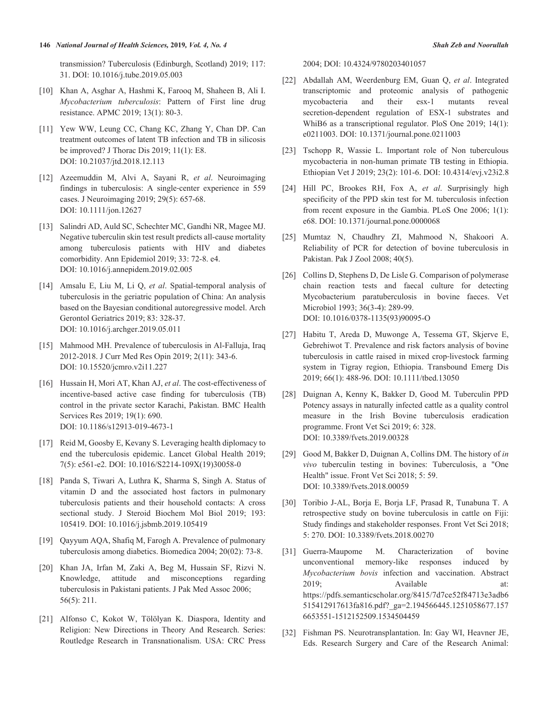### **146** *National Journal of Health Sciences,* **2019***, Vol. 4, No. 4 Shah Zeb and Noorullah*

transmission? Tuberculosis (Edinburgh, Scotland) 2019; 117: 31. DOI: 10.1016/j.tube.2019.05.003

- [10] Khan A, Asghar A, Hashmi K, Farooq M, Shaheen B, Ali I. *Mycobacterium tuberculosis*: Pattern of First line drug resistance. APMC 2019; 13(1): 80-3.
- [11] Yew WW, Leung CC, Chang KC, Zhang Y, Chan DP. Can treatment outcomes of latent TB infection and TB in silicosis be improved? J Thorac Dis 2019; 11(1): E8. DOI: 10.21037/jtd.2018.12.113
- [12] Azeemuddin M, Alvi A, Sayani R, *et al*. Neuroimaging findings in tuberculosis: A single-center experience in 559 cases. J Neuroimaging 2019; 29(5): 657-68. DOI: 10.1111/jon.12627
- [13] Salindri AD, Auld SC, Schechter MC, Gandhi NR, Magee MJ. Negative tuberculin skin test result predicts all-cause mortality among tuberculosis patients with HIV and diabetes comorbidity. Ann Epidemiol 2019; 33: 72-8. e4. DOI: 10.1016/j.annepidem.2019.02.005
- [14] Amsalu E, Liu M, Li Q, *et al*. Spatial-temporal analysis of tuberculosis in the geriatric population of China: An analysis based on the Bayesian conditional autoregressive model. Arch Gerontol Geriatrics 2019; 83: 328-37. DOI: 10.1016/j.archger.2019.05.011
- [15] Mahmood MH. Prevalence of tuberculosis in Al-Falluja, Iraq 2012-2018. J Curr Med Res Opin 2019; 2(11): 343-6. DOI: 10.15520/jcmro.v2i11.227
- [16] Hussain H, Mori AT, Khan AJ, *et al*. The cost-effectiveness of incentive-based active case finding for tuberculosis (TB) control in the private sector Karachi, Pakistan. BMC Health Services Res 2019; 19(1): 690. DOI: 10.1186/s12913-019-4673-1
- [17] Reid M, Goosby E, Kevany S. Leveraging health diplomacy to end the tuberculosis epidemic. Lancet Global Health 2019; 7(5): e561-e2. DOI: 10.1016/S2214-109X(19)30058-0
- [18] Panda S, Tiwari A, Luthra K, Sharma S, Singh A. Status of vitamin D and the associated host factors in pulmonary tuberculosis patients and their household contacts: A cross sectional study. J Steroid Biochem Mol Biol 2019; 193: 105419. DOI: 10.1016/j.jsbmb.2019.105419
- [19] Qayyum AQA, Shafiq M, Farogh A. Prevalence of pulmonary tuberculosis among diabetics. Biomedica 2004; 20(02): 73-8.
- [20] Khan JA, Irfan M, Zaki A, Beg M, Hussain SF, Rizvi N. Knowledge, attitude and misconceptions regarding tuberculosis in Pakistani patients. J Pak Med Assoc 2006; 56(5): 211.
- [21] Alfonso C, Kokot W, Tölölyan K. Diaspora, Identity and Religion: New Directions in Theory And Research. Series: Routledge Research in Transnationalism. USA: CRC Press

2004; DOI: 10.4324/9780203401057

- [22] Abdallah AM, Weerdenburg EM, Guan Q, *et al*. Integrated transcriptomic and proteomic analysis of pathogenic mycobacteria and their esx-1 mutants reveal secretion-dependent regulation of ESX-1 substrates and WhiB6 as a transcriptional regulator. PloS One 2019; 14(1): e0211003. DOI: 10.1371/journal.pone.0211003
- [23] Tschopp R, Wassie L. Important role of Non tuberculous mycobacteria in non-human primate TB testing in Ethiopia. Ethiopian Vet J 2019; 23(2): 101-6. DOI: 10.4314/evj.v23i2.8
- [24] Hill PC, Brookes RH, Fox A, *et al*. Surprisingly high specificity of the PPD skin test for M. tuberculosis infection from recent exposure in the Gambia. PLoS One 2006; 1(1): e68. DOI: 10.1371/journal.pone.0000068
- [25] Mumtaz N, Chaudhry ZI, Mahmood N, Shakoori A. Reliability of PCR for detection of bovine tuberculosis in Pakistan. Pak J Zool 2008; 40(5).
- [26] Collins D, Stephens D, De Lisle G. Comparison of polymerase chain reaction tests and faecal culture for detecting Mycobacterium paratuberculosis in bovine faeces. Vet Microbiol 1993; 36(3-4): 289-99. DOI: 10.1016/0378-1135(93)90095-O
- [27] Habitu T, Areda D, Muwonge A, Tessema GT, Skjerve E, Gebrehiwot T. Prevalence and risk factors analysis of bovine tuberculosis in cattle raised in mixed crop‐livestock farming system in Tigray region, Ethiopia. Transbound Emerg Dis 2019; 66(1): 488-96. DOI: 10.1111/tbed.13050
- [28] Duignan A, Kenny K, Bakker D, Good M. Tuberculin PPD Potency assays in naturally infected cattle as a quality control measure in the Irish Bovine tuberculosis eradication programme. Front Vet Sci 2019; 6: 328. DOI: 10.3389/fvets.2019.00328
- [29] Good M, Bakker D, Duignan A, Collins DM. The history of *in vivo* tuberculin testing in bovines: Tuberculosis, a "One Health" issue. Front Vet Sci 2018; 5: 59. DOI: 10.3389/fvets.2018.00059
- [30] Toribio J-AL, Borja E, Borja LF, Prasad R, Tunabuna T. A retrospective study on bovine tuberculosis in cattle on Fiji: Study findings and stakeholder responses. Front Vet Sci 2018; 5: 270. DOI: 10.3389/fvets.2018.00270
- [31] Guerra-Maupome M. Characterization of bovine unconventional memory-like responses induced by *Mycobacterium bovis* infection and vaccination. Abstract 2019; Available at: https://pdfs.semanticscholar.org/8415/7d7ce52f84713e3adb6 515412917613fa816.pdf?\_ga=2.194566445.1251058677.157 6653551-1512152509.1534504459
- [32] Fishman PS. Neurotransplantation. In: Gay WI, Heavner JE, Eds. Research Surgery and Care of the Research Animal: